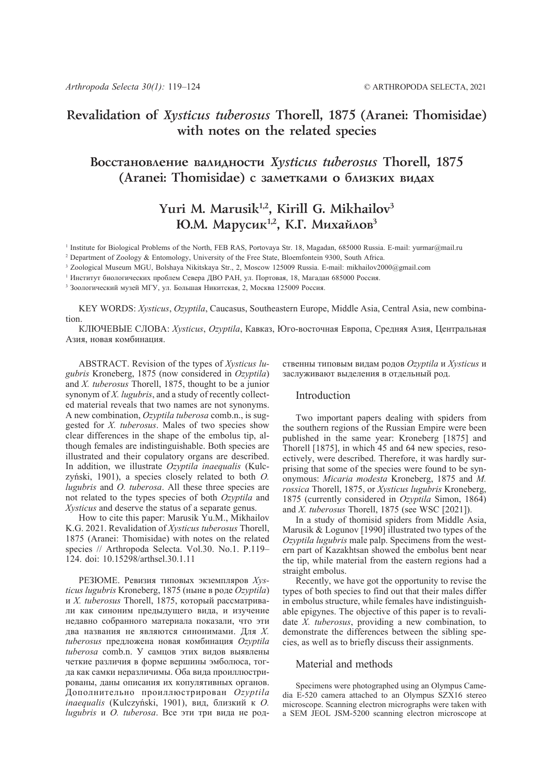## **Revalidation of** *Xysticus tuberosus* **Thorell, 1875 (Aranei: Thomisidae) with notes on the related species**

## Восстановление валидности *Xysticus tuberosus* Thorell, 1875 (Aranei: Thomisidae) с заметками о близких видах

# Yuri M. Marusik<sup>1,2</sup>, Kirill G. Mikhailov<sup>3</sup> **Ю.М. Марусик<sup>1,2</sup>, К.Г. Михайлов<sup>3</sup>**

<sup>1</sup> Institute for Biological Problems of the North, FEB RAS, Portovaya Str. 18, Magadan, 685000 Russia. E-mail: yurmar@mail.ru

2 Department of Zoology & Entomology, University of the Free State, Bloemfontein 9300, South Africa.

3 Zoological Museum MGU, Bolshaya Nikitskaya Str., 2, Moscow 125009 Russia. E-mail: mikhailov2000@gmail.com

<sup>1</sup> Институт биологических проблем Севера ДВО РАН, ул. Портовая, 18, Магадан 685000 Россия.

<sup>3</sup> Зоологический музей МГУ, ул. Большая Никитская, 2, Москва 125009 Россия.

KEY WORDS: *Xysticus*, *Ozyptila*, Caucasus, Southeastern Europe, Middle Asia, Central Asia, new combination.

КЛЮЧЕВЫЕ СЛОВА: *Xysticus*, *Ozyptila*, Кавказ, Юго-восточная Европа, Средняя Азия, Центральная Азия, новая комбинация.

ABSTRACT. Revision of the types of *Xysticus lugubris* Kroneberg, 1875 (now considered in *Ozyptila*) and *X. tuberosus* Thorell, 1875, thought to be a junior synonym of *X. lugubris*, and a study of recently collected material reveals that two names are not synonyms. A new combination, *Ozyptila tuberosa* comb.n., is suggested for *X. tuberosus*. Males of two species show clear differences in the shape of the embolus tip, although females are indistinguishable. Both species are illustrated and their copulatory organs are described. In addition, we illustrate *Ozyptila inaequalis* (Kulczyński, 1901), a species closely related to both *O. lugubris* and *O. tuberosa*. All these three species are not related to the types species of both *Ozyptila* and *Xysticus* and deserve the status of a separate genus.

How to cite this paper: Marusik Yu.M., Mikhailov K.G. 2021. Revalidation of *Xysticus tuberosus* Thorell, 1875 (Aranei: Thomisidae) with notes on the related species // Arthropoda Selecta. Vol.30. No.1. P.119– 124. doi: 10.15298/arthsel.30.1.11

РЕЗЮМЕ. Ревизия типовых экземпляров *Xysticus lugubris* Kroneberg, 1875 (ныне в роде *Ozyptila*) и *X. tuberosus* Thorell, 1875, который рассматривали как синоним предыдущего вида, и изучение недавно собранного материала показали, что эти два названия не являются синонимами. Для *X. tuberosus* предложена новая комбинация *Ozyptila tuberosa* comb.n. У самцов этих видов выявлены четкие различия в форме вершины эмболюса, тогда как самки неразличимы. Оба вида проиллюстрированы, даны описания их копулятивных органов. Дополнительно проиллюстрирован *Ozyptila inaequalis* (Kulczyński, 1901), вид, близкий к *O. lugubris* и *O. tuberosa*. Все эти три вида не род-

ственны типовым видам родов *Ozyptila* и *Xysticus* и заслуживают выделения в отдельный род.

#### Introduction

Two important papers dealing with spiders from the southern regions of the Russian Empire were been published in the same year: Kroneberg [1875] and Thorell [1875], in which 45 and 64 new species, resoectively, were described. Therefore, it was hardly surprising that some of the species were found to be synonymous: *Micaria modesta* Kroneberg, 1875 and *M. rossica* Thorell, 1875, or *Xysticus lugubris* Kroneberg, 1875 (currently considered in *Ozyptila* Simon, 1864) and *X. tuberosus* Thorell, 1875 (see WSC [2021]).

In a study of thomisid spiders from Middle Asia, Marusik & Logunov [1990] illustrated two types of the *Ozyptila lugubris* male palp. Specimens from the western part of Kazakhtsan showed the embolus bent near the tip, while material from the eastern regions had a straight embolus.

Recently, we have got the opportunity to revise the types of both species to find out that their males differ in embolus structure, while females have indistinguishable epigynes. The objective of this paper is to revalidate *X. tuberosus*, providing a new combination, to demonstrate the differences between the sibling species, as well as to briefly discuss their assignments.

### Material and methods

Specimens were photographed using an Olympus Camedia E-520 camera attached to an Olympus  $SZX16$  stereo microscope. Scanning electron micrographs were taken with a SEM JEOL JSM-5200 scanning electron microscope at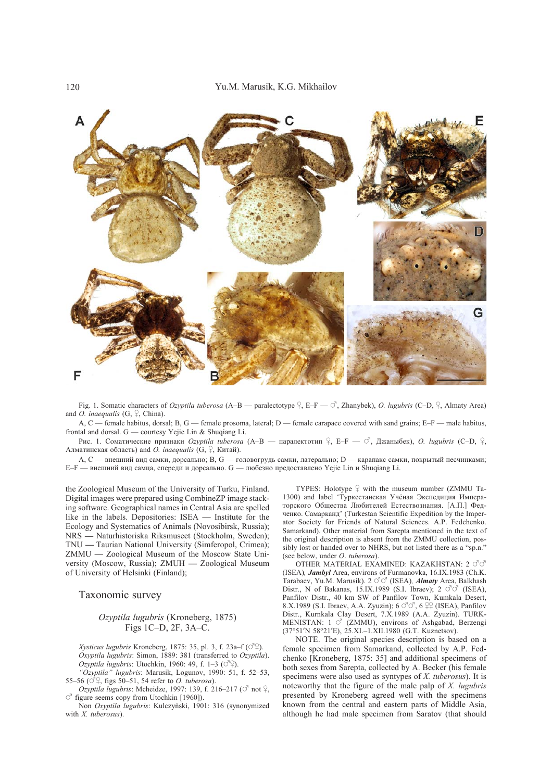

Fig. 1. Somatic characters of *Ozyptila tuberosa* (A–B — paralectotype  $\frac{1}{2}$ , E–F —  $\circ$ , Zhanybek), *O. lugubris* (C–D,  $\frac{1}{2}$ , Almaty Area) and *O. inaequalis* (G,  $\varphi$ , China).

A, C — female habitus, dorsal; B, G — female prosoma, lateral; D — female carapace covered with sand grains; E–F — male habitus, frontal and dorsal. G — courtesy Yejie Lin & Shuqiang Li.

Рис. 1. Соматические признаки *Ozyptila tuberosa* (А-В — паралектотип  $\}$ , Е-F —  $\circ$ , Джаныбек), *O. lugubris* (С-D,  $\}$ , Алматинская область) and *O. inaequalis*  $(G, \varphi,$  Китай).

A, C — внешний вид самки, дорсально; B, G — головогрудь самки, латерально; D — карапакс самки, покрытый песчинками; E–F — внешний вид самца, спереди и дорсально. G — любезно предоставлено Yejie Lin и Shuqiang Li.

the Zoological Museum of the University of Turku, Finland. Digital images were prepared using CombineZP image stacking software. Geographical names in Central Asia are spelled like in the labels. Depositories: ISEA **—** Institute for the Ecology and Systematics of Animals (Novosibirsk, Russia); NRS **—** Naturhistoriska Riksmuseet (Stockholm, Sweden); TNU **—** Taurian National University (Simferopol, Crimea); ZMMU **—** Zoological Museum of the Moscow State University (Moscow, Russia); ZMUH **—** Zoological Museum of University of Helsinki (Finland);

#### Taxonomic survey

#### *Ozyptila lugubris* (Kroneberg, 1875) Figs 1C–D, 2F, 3A–C.

*Xysticus lugubris* Kroneberg, 1875: 35, pl. 3, f. 23a–f  $(\vec{O}^{\mathbb{Q}})$ . *Oxyptila lugubris*: Simon, 1889: 381 (transferred to *Ozyptila*).  $Ozyptila$  *lugubris*: Utochkin, 1960: 49, f. 1–3 ( $\circ$ °).

*"Ozyptila" lugubris*: Marusik, Logunov, 1990: 51, f. 52–53, 55–56 ( $\circ$ <sup>9</sup>, figs 50–51, 54 refer to *O. tuberosa*).

*Ozyptila lugubris*: Mcheidze, 1997: 139, f. 216–217 ( $\circ$ <sup>7</sup> not  $\circ$ <sub>7</sub>,  $\alpha$  figure seems copy from Utochkin [1960]).

Non *Oxyptila lugubris*: Kulczyński, 1901: 316 (synonymized with *X. tuberosus*).

TYPES: Holotype  $\frac{1}{4}$  with the museum number (ZMMU Ta-1300) and label 'Туркестанская Учёная Экспедиция Императорского Общества Любителей Естествознания. [А.П.] Федченко. Самарканд' (Turkestan Scientific Expedition by the Imperator Society for Friends of Natural Sciences. A.P. Fedchenko. Samarkand). Other material from Sarepta mentioned in the text of the original description is absent from the ZMMU collection, possibly lost or handed over to NHRS, but not listed there as a "sp.n." (see below, under *O*. *tuberosa*).

OTHER MATERIAL EXAMINED: KAZAKHSTAN:  $2 \circ \sigma$ (ISEA)*, Jambyl* Area, environs of Furmanovka, 16.IX.1983 (Ch.K. Tarabaev, Yu.M. Marusik). 2 ## (ISEA)*, Almaty* Area, Balkhash Distr., N of Bakanas, 15.IX.1989 (S.I. Ibraev); 2 ## (ISEA), Panfilov Distr., 40 km SW of Panfilov Town, Kumkala Desert, 8.X.1989 (S.I. Ibraev, A.A. Zyuzin);  $6 \text{ }^{\circ} \text{ }^{\circ}$ ,  $6 \text{ }^{\circ} \text{ }^{\circ}$  (ISEA), Panfilov Distr., Kurnkala Clay Desert, 7.X.1989 (A.A. Zyuzin). TURK-MENISTAN:  $1 \circ$  (ZMMU), environs of Ashgabad, Berzengi (37°51′N 58°21′E), 25.XI.–1.XII.1980 (G.T. Kuznetsov).

NOTE. The original species description is based on a female specimen from Samarkand, collected by A.P. Fedchenko [Kroneberg, 1875: 35] and additional specimens of both sexes from Sarepta, collected by A. Becker (his female specimens were also used as syntypes of *X. tuberosus*). It is noteworthy that the figure of the male palp of *X. lugubris* presented by Kroneberg agreed well with the specimens known from the central and eastern parts of Middle Asia, although he had male specimen from Saratov (that should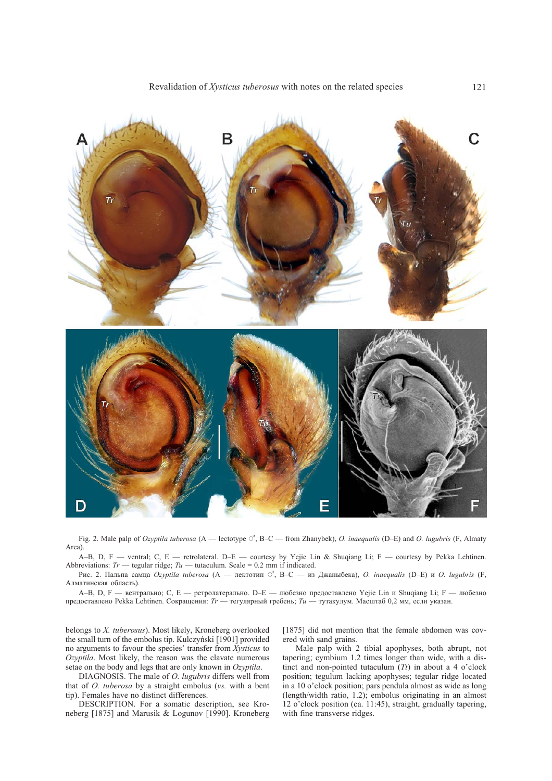

Fig. 2. Male palp of *Ozyptila tuberosa* (A — lectotype  $\circ$ , B–C — from Zhanybek), *O. inaequalis* (D–E) and *O. lugubris* (F, Almaty Area).

A–B, D, F — ventral; C, E — retrolateral. D–E — courtesy by Yejie Lin & Shuqiang Li; F — courtesy by Pekka Lehtinen. Abbreviations:  $Tr$  — tegular ridge;  $Tu$  — tutaculum. Scale = 0.2 mm if indicated.

Рис. 2. Пальпа самца *Ozyptila tuberosa* (A — лектотип #, B–C — из Джаныбека), *O. inaequalis* (D–E) и *O. lugubris* (F, Алматинская область).

A–B, D, F — вентрально; C, E — ретролатерально. D–E — любезно предоставлено Yejie Lin и Shuqiang Li; F — любезно предоставлено Pekka Lehtinen. Сокращения: *Tr* — тегулярный гребень; *Tu* — тутакулум. Масштаб 0,2 мм, если указан.

belongs to *X. tuberosus*). Most likely, Kroneberg overlooked the small turn of the embolus tip. Kulczyński [1901] provided no arguments to favour the species' transfer from *Xysticus* to *Ozyptila*. Most likely, the reason was the clavate numerous setae on the body and legs that are only known in *Ozyptila*.

DIAGNOSIS. The male of *O. lugubris* differs well from that of *O. tuberosa* by a straight embolus (*vs.* with a bent tip). Females have no distinct differences.

DESCRIPTION. For a somatic description, see Kroneberg [1875] and Marusik & Logunov [1990]. Kroneberg

[1875] did not mention that the female abdomen was covered with sand grains.

Male palp with 2 tibial apophyses, both abrupt, not tapering; cymbium 1.2 times longer than wide, with a distinct and non-pointed tutaculum (*Tt*) in about a 4 o'clock position; tegulum lacking apophyses; tegular ridge located in a 10 o'clock position; pars pendula almost as wide as long (length/width ratio, 1.2); embolus originating in an almost 12 o'clock position (ca. 11:45), straight, gradually tapering, with fine transverse ridges.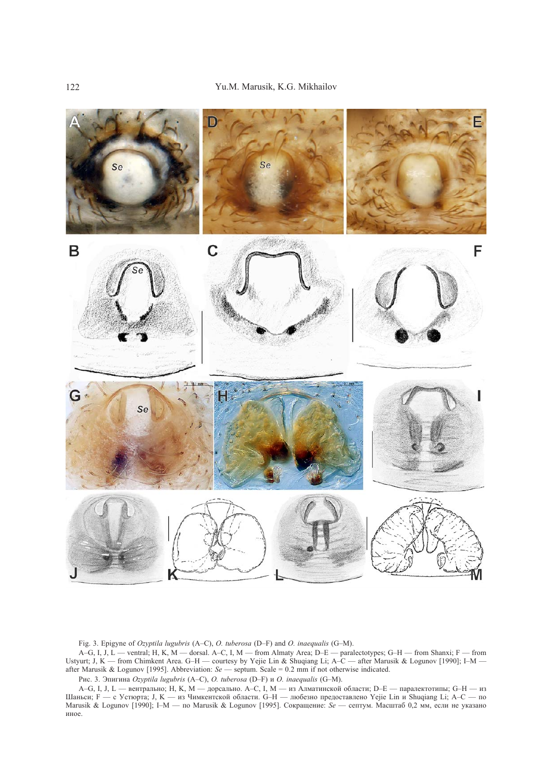

Fig. 3. Epigyne of *Ozyptila lugubris* (A–C), *O. tuberosa* (D–F) and *O. inaequalis* (G–M).

A–G, I, J, L — ventral; H, K, M — dorsal. A–C, I, M — from Almaty Area; D–E — paralectotypes; G–H — from Shanxi; F — from Ustyurt; J, K — from Chimkent Area. G–H — courtesy by Yejie Lin & Shuqiang Li; A–C — after Marusik & Logunov [1990]; I–M after Marusik & Logunov [1995]. Abbreviation: *Se* — septum. Scale = 0.2 mm if not otherwise indicated.

Рис. 3. Эпигина *Ozyptila lugubris* (A–C), *O. tuberosa* (D–F) и *O. inaequalis* (G–M).

A–G, I, J, L — вентрально; H, K, M — дорсально. A–C, I, M — из Алматинской области; D–E — паралектотипы; G–H — из Шаньси; F — с Устюрта; J, K — из Чимкентской области. G–H — любезно предоставлено Yejie Lin и Shuqiang Li; A–C — по Marusik & Logunov [1990]; I–M — по Marusik & Logunov [1995]. Сокращение: *Se* — септум. Масштаб 0,2 мм, если не указано иное.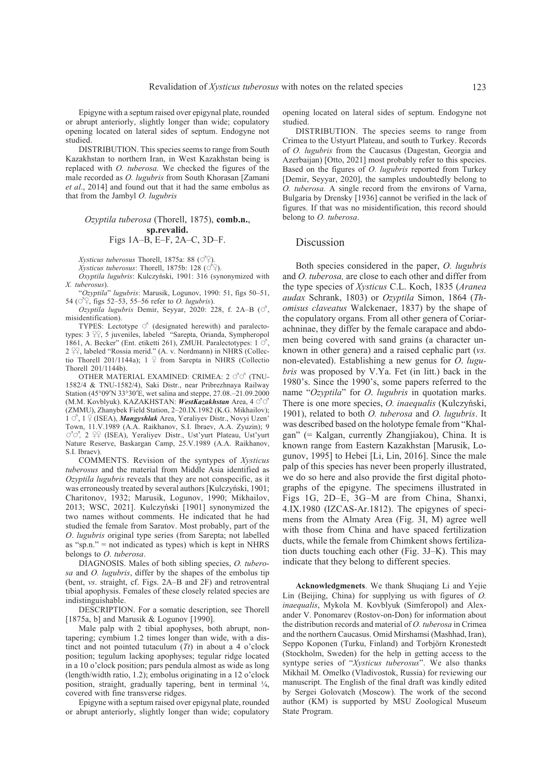Epigyne with a septum raised over epigynal plate, rounded or abrupt anteriorly, slightly longer than wide; copulatory opening located on lateral sides of septum. Endogyne not studied.

DISTRIBUTION. This species seems to range from South Kazakhstan to northern Iran, in West Kazakhstan being is replaced with *O. tuberosa.* We checked the figures of the male recorded as *O. lugubris* from South Khorasan [Zamani *et al*., 2014] and found out that it had the same embolus as that from the Jambyl *O. lugubris*

#### *Ozyptila tuberosa* (Thorell, 1875), **comb.n.**, **sp.revalid.** Figs 1A–B, E–F, 2A–C, 3D–F.

*Xysticus tuberosus* Thorell, 1875a: 88 ( $\circlearrowleft^{\circ}$ ).

 $X$ *ysticus tuberosus*: Thorell, 1875b: 128 ( $O^2$ ).

*Oxyptila lugubris*: Kulczyński, 1901: 316 (synonymized with *X. tuberosus*).

"*Ozyptila*" *lugubris*: Marusik, Logunov, 1990: 51, figs 50–51, 54 ( $\circ$ <sup>9</sup>, figs 52–53, 55–56 refer to *O. lugubris*).

 $Ozyptila$  *lugubris* Demir, Seyyar, 2020: 228, f. 2A–B ( $\circ$ <sup>7</sup>, misidentification).

TYPES: Lectotype  $\circ$ <sup>7</sup> (designated herewith) and paralectotypes:  $3 \, \frac{\circ}{\circ}$ , 5 juveniles, labeled "Sarepta, Orianda, Sympheropol 1861, A. Becker" (Ent. etiketti 261), ZMUH. Paralectotypes:  $1 \circ$ ,  $2 \, \hat{P}$ , labeled "Rossia merid." (A. v. Nordmann) in NHRS (Collectio Thorell 201/1144a);  $1 \nsubseteq$  from Sarepta in NHRS (Collectio Thorell 201/1144b).

OTHER MATERIAL EXAMINED: CRIMEA:  $2 \circ \sigma$  (TNU-1582/4 & TNU-1582/4), Saki Distr., near Pribrezhnaya Railway Station (45°09′N 33°30′E, wet salina and steppe, 27.08.–21.09.2000 (M.M. Kovblyuk). KAZAKHSTAN: *WestKazakhstan* Area, 4 ## (ZMMU), Zhanybek Field Station, 2–20.IX.1982 (K.G. Mikhailov); 1  $\circ$ <sup>7</sup>, 1  $\circ$  (ISEA), *Mangyshlak* Area, Yeraliyev Distr., Novyi Uzen' Town, 11.V.1989 (A.A. Raikhanov, S.I. Ibraev, A.A. Zyuzin); 9  $\overline{O}$ <sup>7</sup> $\overline{O}$ <sup>7</sup>, 2  $\overline{O}$ <sub>2</sub> (ISEA), Yeraliyev Distr., Ust'yurt Plateau, Ust'yurt Nature Reserve, Baskargan Camp, 25.V.1989 (A.A. Raikhanov, S.I. Ibraev).

COMMENTS. Revision of the syntypes of *Xysticus tuberosus* and the material from Middle Asia identified as *Ozyptila lugubris* reveals that they are not conspecific, as it was erroneously treated by several authors [Kulczyński, 1901; Charitonov, 1932; Marusik, Logunov, 1990; Mikhailov, 2013; WSC, 2021]. Kulczyński [1901] synonymized the two names without comments. He indicated that he had studied the female from Saratov. Most probably, part of the *O*. *lugubris* original type series (from Sarepta; not labelled as "sp.n." = not indicated as types) which is kept in NHRS belongs to *O*. *tuberosa*.

DIAGNOSIS. Males of both sibling species, *O. tuberosa* and *O. lugubris*, differ by the shapes of the embolus tip (bent, *vs*. straight, cf. Figs. 2A–B and 2F) and retroventral tibial apophysis. Females of these closely related species are indistinguishable.

DESCRIPTION. For a somatic description, see Thorell [1875a, b] and Marusik & Logunov [1990].

Male palp with 2 tibial apophyses, both abrupt, nontapering; cymbium 1.2 times longer than wide, with a distinct and not pointed tutaculum (*Tt*) in about a 4 o'clock position; tegulum lacking apophyses; tegular ridge located in a 10 o'clock position; pars pendula almost as wide as long (length/width ratio, 1.2); embolus originating in a 12 o'clock position, straight, gradually tapering, bent in terminal ¼, covered with fine transverse ridges.

Epigyne with a septum raised over epigynal plate, rounded or abrupt anteriorly, slightly longer than wide; copulatory

opening located on lateral sides of septum. Endogyne not studied.

DISTRIBUTION. The species seems to range from Crimea to the Ustyurt Plateau, and south to Turkey. Records of *O. lugubris* from the Caucasus (Dagestan, Georgia and Azerbaijan) [Otto, 2021] most probably refer to this species. Based on the figures of *O. lugubris* reported from Turkey [Demir, Seyyar, 2020], the samples undoubtedly belong to *O. tuberosa.* A single record from the environs of Varna, Bulgaria by Drensky [1936] cannot be verified in the lack of figures. If that was no misidentification, this record should belong to *O. tuberosa*.

#### Discussion

Both species considered in the paper, *O. lugubris* and *O. tuberosa,* are close to each other and differ from the type species of *Xysticus* C.L. Koch, 1835 (*Aranea audax* Schrank, 1803) or *Ozyptila* Simon, 1864 (*Thomisus claveatus* Walckenaer, 1837) by the shape of the copulatory organs. From all other genera of Coriarachninae, they differ by the female carapace and abdomen being covered with sand grains (a character unknown in other genera) and a raised cephalic part (*vs.* non-elevated). Establishing a new genus for *O*. *lugubris* was proposed by V.Ya. Fet (in litt.) back in the 1980's. Since the 1990's, some papers referred to the name "*Ozyptila*" for *O*. *lugubris* in quotation marks. There is one more species, *O. inaequalis* (Kulczyński, 1901), related to both *O. tuberosa* and *O. lugubris*. It was described based on the holotype female from "Khalgan" (= Kalgan, currently Zhangjiakou), China. It is known range from Eastern Kazakhstan [Marusik, Logunov, 1995] to Hebei [Li, Lin, 2016]. Since the male palp of this species has never been properly illustrated, we do so here and also provide the first digital photographs of the epigyne. The specimens illustrated in Figs 1G, 2D–E, 3G–M are from China, Shanxi, 4.IX.1980 (IZCAS-Ar.1812). The epigynes of specimens from the Almaty Area (Fig. 3I, M) agree well with those from China and have spaced fertilization ducts, while the female from Chimkent shows fertilization ducts touching each other (Fig. 3J–K). This may indicate that they belong to different species.

**Acknowledgmenets**. We thank Shuqiang Li and Yejie Lin (Beijing, China) for supplying us with figures of *O. inaequalis*, Mykola M. Kovblyuk (Simferopol) and Alexander V. Ponomarev (Rostov-on-Don) for information about the distribution records and material of *O. tuberosa* in Crimea and the northern Caucasus. Omid Mirshamsi (Mashhad, Iran), Seppo Koponen (Turku, Finland) and Torbjörn Kronestedt (Stockholm, Sweden) for the help in getting access to the syntype series of "*Xysticus tuberosus*". We also thanks Mikhail M. Omelko (Vladivostok, Russia) for reviewing our manuscript. The English of the final draft was kindly edited by Sergei Golovatch (Moscow). The work of the second author (KM) is supported by MSU Zoological Museum State Program.